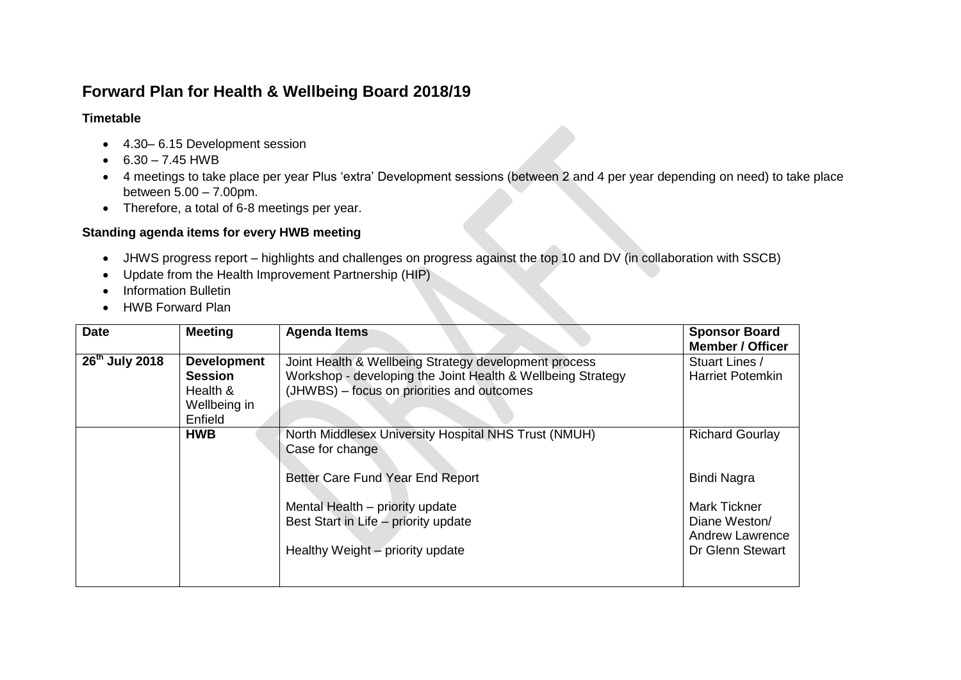## **Forward Plan for Health & Wellbeing Board 2018/19**

## **Timetable**

- 4.30–6.15 Development session
- $6.30 7.45$  HWB
- 4 meetings to take place per year Plus 'extra' Development sessions (between 2 and 4 per year depending on need) to take place between 5.00 – 7.00pm.
- Therefore, a total of 6-8 meetings per year.

## **Standing agenda items for every HWB meeting**

- JHWS progress report highlights and challenges on progress against the top 10 and DV (in collaboration with SSCB)
- Update from the Health Improvement Partnership (HIP)
- Information Bulletin
- HWB Forward Plan

| <b>Date</b>                                                                                               | <b>Meeting</b> | <b>Agenda Items</b>                                                                                                                                                                                                        | <b>Sponsor Board</b><br><b>Member / Officer</b>                                                                             |
|-----------------------------------------------------------------------------------------------------------|----------------|----------------------------------------------------------------------------------------------------------------------------------------------------------------------------------------------------------------------------|-----------------------------------------------------------------------------------------------------------------------------|
| 26 <sup>th</sup> July 2018<br><b>Development</b><br><b>Session</b><br>Health &<br>Wellbeing in<br>Enfield |                | Joint Health & Wellbeing Strategy development process<br>Workshop - developing the Joint Health & Wellbeing Strategy<br>(JHWBS) - focus on priorities and outcomes                                                         | Stuart Lines /<br><b>Harriet Potemkin</b>                                                                                   |
|                                                                                                           | <b>HWB</b>     | North Middlesex University Hospital NHS Trust (NMUH)<br>Case for change<br>Better Care Fund Year End Report<br>Mental Health - priority update<br>Best Start in Life - priority update<br>Healthy Weight - priority update | <b>Richard Gourlay</b><br>Bindi Nagra<br><b>Mark Tickner</b><br>Diane Weston/<br><b>Andrew Lawrence</b><br>Dr Glenn Stewart |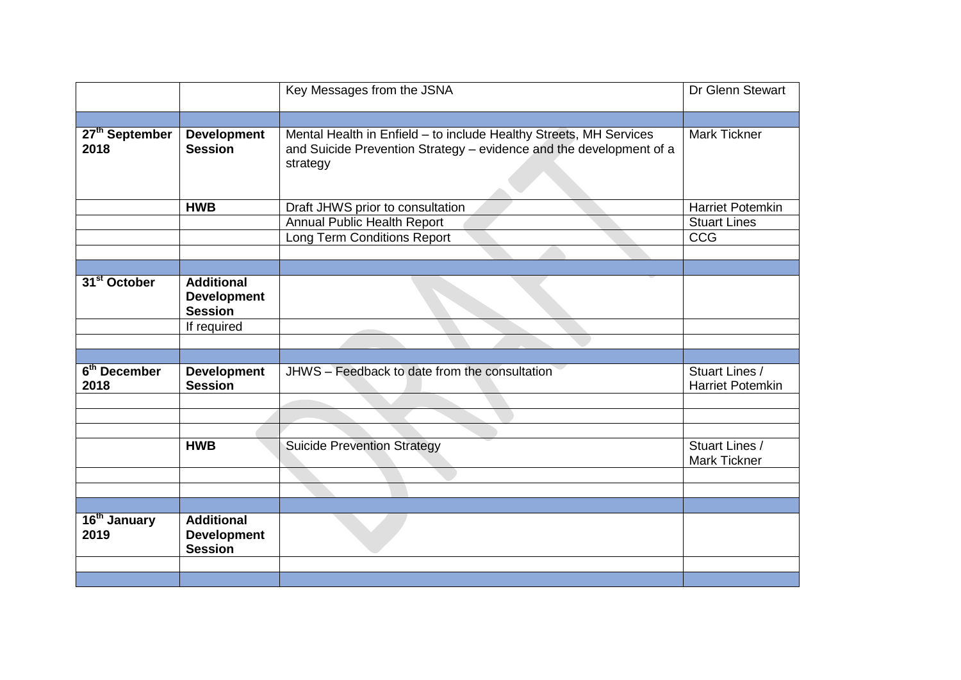|                                  |                                                           | Key Messages from the JSNA                                                                                                                            | Dr Glenn Stewart                          |
|----------------------------------|-----------------------------------------------------------|-------------------------------------------------------------------------------------------------------------------------------------------------------|-------------------------------------------|
|                                  |                                                           |                                                                                                                                                       |                                           |
| 27 <sup>th</sup> September       | <b>Development</b>                                        |                                                                                                                                                       | <b>Mark Tickner</b>                       |
| 2018                             | <b>Session</b>                                            | Mental Health in Enfield - to include Healthy Streets, MH Services<br>and Suicide Prevention Strategy - evidence and the development of a<br>strategy |                                           |
|                                  | <b>HWB</b>                                                | Draft JHWS prior to consultation                                                                                                                      | <b>Harriet Potemkin</b>                   |
|                                  |                                                           | <b>Annual Public Health Report</b>                                                                                                                    | <b>Stuart Lines</b>                       |
|                                  |                                                           | <b>Long Term Conditions Report</b>                                                                                                                    | <b>CCG</b>                                |
|                                  |                                                           |                                                                                                                                                       |                                           |
|                                  |                                                           |                                                                                                                                                       |                                           |
| 31 <sup>st</sup> October         | <b>Additional</b><br><b>Development</b><br><b>Session</b> |                                                                                                                                                       |                                           |
|                                  | If required                                               |                                                                                                                                                       |                                           |
|                                  |                                                           |                                                                                                                                                       |                                           |
|                                  |                                                           |                                                                                                                                                       |                                           |
| 6 <sup>th</sup> December<br>2018 | <b>Development</b><br><b>Session</b>                      | JHWS - Feedback to date from the consultation                                                                                                         | Stuart Lines /<br><b>Harriet Potemkin</b> |
|                                  |                                                           |                                                                                                                                                       |                                           |
|                                  |                                                           |                                                                                                                                                       |                                           |
|                                  |                                                           |                                                                                                                                                       |                                           |
|                                  | <b>HWB</b>                                                | <b>Suicide Prevention Strategy</b>                                                                                                                    | Stuart Lines /<br>Mark Tickner            |
|                                  |                                                           |                                                                                                                                                       |                                           |
|                                  |                                                           |                                                                                                                                                       |                                           |
|                                  |                                                           |                                                                                                                                                       |                                           |
| 16 <sup>th</sup> January<br>2019 | <b>Additional</b><br><b>Development</b><br><b>Session</b> |                                                                                                                                                       |                                           |
|                                  |                                                           |                                                                                                                                                       |                                           |
|                                  |                                                           |                                                                                                                                                       |                                           |